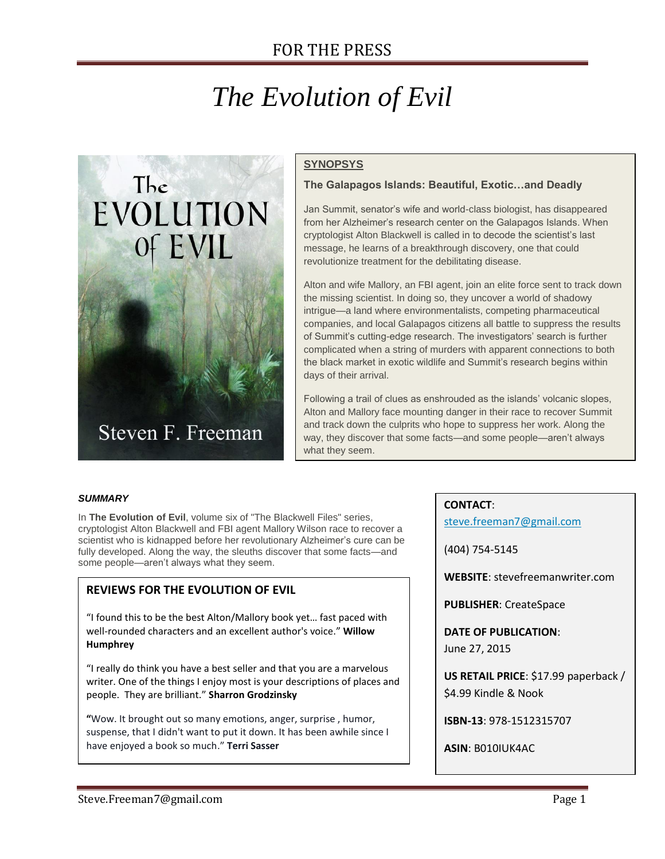# *The Evolution of Evil*



Steven F. Freeman

#### **SYNOPSYS**

#### **The Galapagos Islands: Beautiful, Exotic…and Deadly**

Jan Summit, senator's wife and world-class biologist, has disappeared from her Alzheimer's research center on the Galapagos Islands. When cryptologist Alton Blackwell is called in to decode the scientist's last message, he learns of a breakthrough discovery, one that could revolutionize treatment for the debilitating disease.

Alton and wife Mallory, an FBI agent, join an elite force sent to track down the missing scientist. In doing so, they uncover a world of shadowy intrigue—a land where environmentalists, competing pharmaceutical companies, and local Galapagos citizens all battle to suppress the results of Summit's cutting-edge research. The investigators' search is further complicated when a string of murders with apparent connections to both the black market in exotic wildlife and Summit's research begins within days of their arrival.

Following a trail of clues as enshrouded as the islands' volcanic slopes, Alton and Mallory face mounting danger in their race to recover Summit and track down the culprits who hope to suppress her work. Along the way, they discover that some facts—and some people—aren't always what they seem.

#### *SUMMARY*

In **The Evolution of Evil**, volume six of "The Blackwell Files" series, cryptologist Alton Blackwell and FBI agent Mallory Wilson race to recover a scientist who is kidnapped before her revolutionary Alzheimer's cure can be fully developed. Along the way, the sleuths discover that some facts—and some people—aren't always what they seem.

### **REVIEWS FOR THE EVOLUTION OF EVIL**

"I found this to be the best Alton/Mallory book yet… fast paced with well-rounded characters and an excellent author's voice." **Willow Humphrey**

"I really do think you have a best seller and that you are a marvelous writer. One of the things I enjoy most is your descriptions of places and people. They are brilliant." **Sharron Grodzinsky**

**"**Wow. It brought out so many emotions, anger, surprise , humor, suspense, that I didn't want to put it down. It has been awhile since I have enjoyed a book so much." **Terri Sasser**

**CONTACT**:

[steve.freeman7@gmail.com](mailto:steve.freeman7@gmail.com)

(404) 754-5145

**WEBSITE**: stevefreemanwriter.com

**PUBLISHER**: CreateSpace

**DATE OF PUBLICATION**: June 27, 2015

**US RETAIL PRICE**: \$17.99 paperback / \$4.99 Kindle & Nook

**ISBN-13**: 978-1512315707

**ASIN**: B010IUK4AC

**PAGES**: 463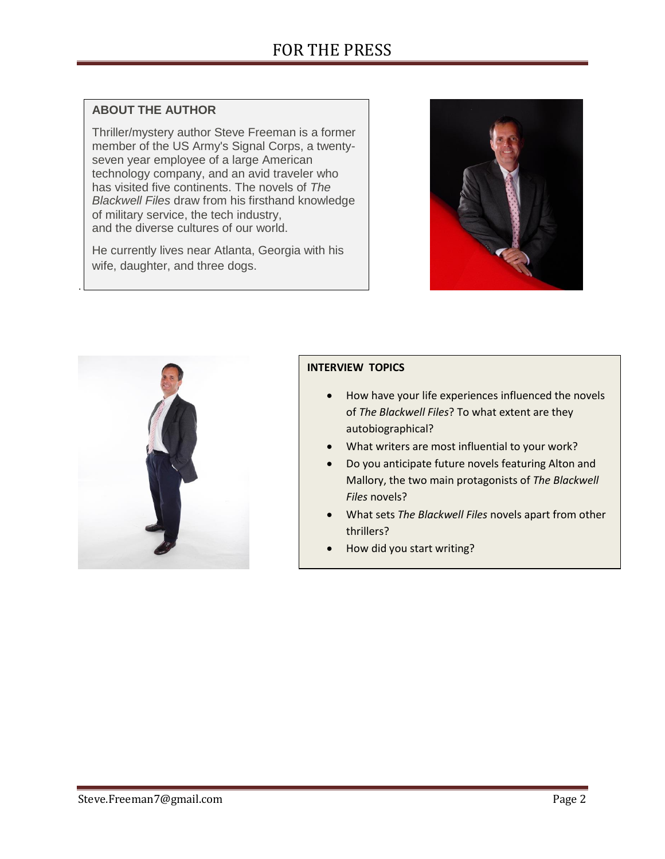## **ABOUT THE AUTHOR**

.

Thriller/mystery author Steve Freeman is a former member of the US Army's Signal Corps, a twentyseven year employee of a large American technology company, and an avid traveler who has visited five continents. The novels of *The Blackwell Files* draw from his firsthand knowledge of military service, the tech industry, and the diverse cultures of our world.

He currently lives near Atlanta, Georgia with his wife, daughter, and three dogs.





#### **INTERVIEW TOPICS**

- How have your life experiences influenced the novels of *The Blackwell Files*? To what extent are they autobiographical?
- What writers are most influential to your work?
- Do you anticipate future novels featuring Alton and Mallory, the two main protagonists of *The Blackwell Files* novels?
- What sets *The Blackwell Files* novels apart from other thrillers?
- How did you start writing?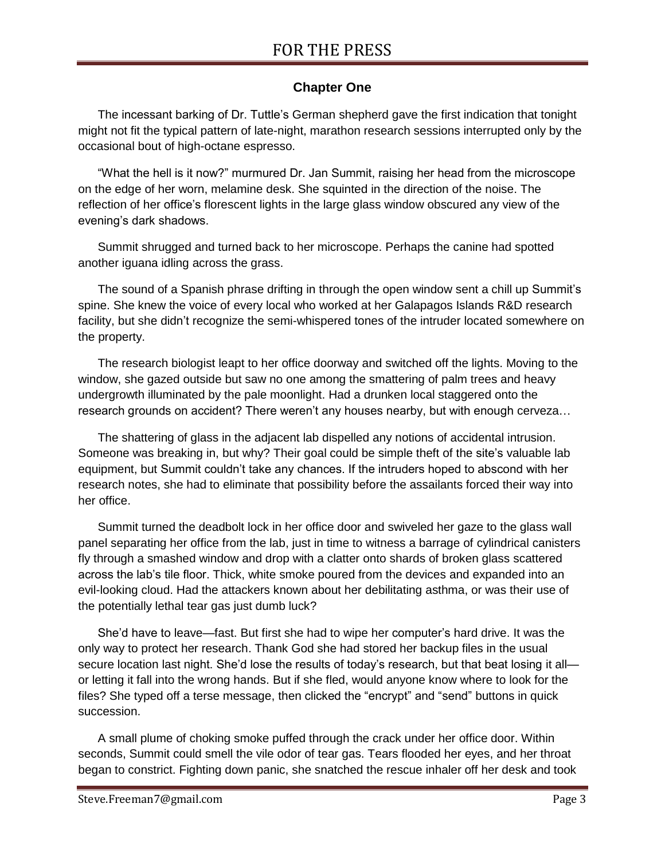# **Chapter One**

The incessant barking of Dr. Tuttle's German shepherd gave the first indication that tonight might not fit the typical pattern of late-night, marathon research sessions interrupted only by the occasional bout of high-octane espresso.

"What the hell is it now?" murmured Dr. Jan Summit, raising her head from the microscope on the edge of her worn, melamine desk. She squinted in the direction of the noise. The reflection of her office's florescent lights in the large glass window obscured any view of the evening's dark shadows.

Summit shrugged and turned back to her microscope. Perhaps the canine had spotted another iguana idling across the grass.

The sound of a Spanish phrase drifting in through the open window sent a chill up Summit's spine. She knew the voice of every local who worked at her Galapagos Islands R&D research facility, but she didn't recognize the semi-whispered tones of the intruder located somewhere on the property.

The research biologist leapt to her office doorway and switched off the lights. Moving to the window, she gazed outside but saw no one among the smattering of palm trees and heavy undergrowth illuminated by the pale moonlight. Had a drunken local staggered onto the research grounds on accident? There weren't any houses nearby, but with enough cerveza…

The shattering of glass in the adjacent lab dispelled any notions of accidental intrusion. Someone was breaking in, but why? Their goal could be simple theft of the site's valuable lab equipment, but Summit couldn't take any chances. If the intruders hoped to abscond with her research notes, she had to eliminate that possibility before the assailants forced their way into her office.

Summit turned the deadbolt lock in her office door and swiveled her gaze to the glass wall panel separating her office from the lab, just in time to witness a barrage of cylindrical canisters fly through a smashed window and drop with a clatter onto shards of broken glass scattered across the lab's tile floor. Thick, white smoke poured from the devices and expanded into an evil-looking cloud. Had the attackers known about her debilitating asthma, or was their use of the potentially lethal tear gas just dumb luck?

She'd have to leave—fast. But first she had to wipe her computer's hard drive. It was the only way to protect her research. Thank God she had stored her backup files in the usual secure location last night. She'd lose the results of today's research, but that beat losing it all or letting it fall into the wrong hands. But if she fled, would anyone know where to look for the files? She typed off a terse message, then clicked the "encrypt" and "send" buttons in quick succession.

A small plume of choking smoke puffed through the crack under her office door. Within seconds, Summit could smell the vile odor of tear gas. Tears flooded her eyes, and her throat began to constrict. Fighting down panic, she snatched the rescue inhaler off her desk and took